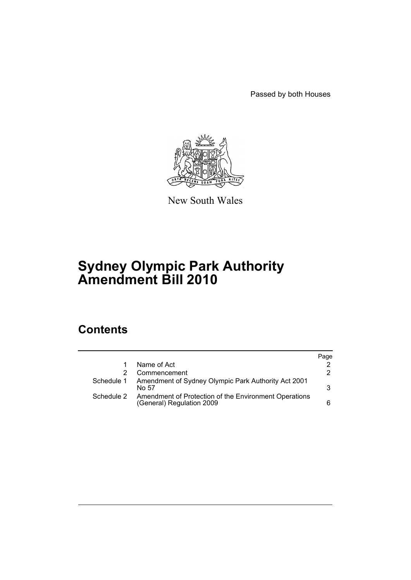Passed by both Houses



New South Wales

# **Sydney Olympic Park Authority Amendment Bill 2010**

# **Contents**

|            |                                                                                    | Page |
|------------|------------------------------------------------------------------------------------|------|
|            | Name of Act                                                                        |      |
|            | Commencement                                                                       | 2    |
|            | Schedule 1 Amendment of Sydney Olympic Park Authority Act 2001<br>No 57            | 3    |
| Schedule 2 | Amendment of Protection of the Environment Operations<br>(General) Regulation 2009 | 6    |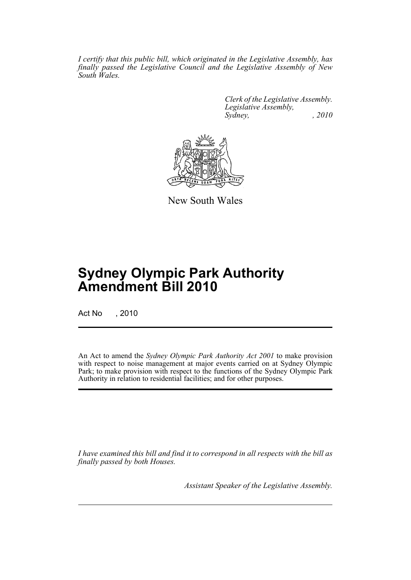*I certify that this public bill, which originated in the Legislative Assembly, has finally passed the Legislative Council and the Legislative Assembly of New South Wales.*

> *Clerk of the Legislative Assembly. Legislative Assembly, Sydney, , 2010*



New South Wales

# **Sydney Olympic Park Authority Amendment Bill 2010**

Act No , 2010

An Act to amend the *Sydney Olympic Park Authority Act 2001* to make provision with respect to noise management at major events carried on at Sydney Olympic Park; to make provision with respect to the functions of the Sydney Olympic Park Authority in relation to residential facilities; and for other purposes.

*I have examined this bill and find it to correspond in all respects with the bill as finally passed by both Houses.*

*Assistant Speaker of the Legislative Assembly.*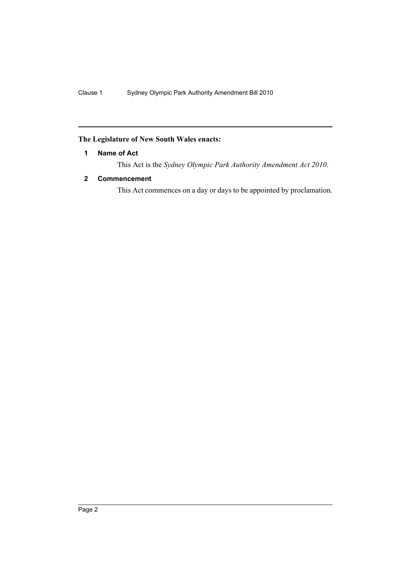### <span id="page-3-0"></span>**The Legislature of New South Wales enacts:**

#### **1 Name of Act**

This Act is the *Sydney Olympic Park Authority Amendment Act 2010*.

### <span id="page-3-1"></span>**2 Commencement**

This Act commences on a day or days to be appointed by proclamation.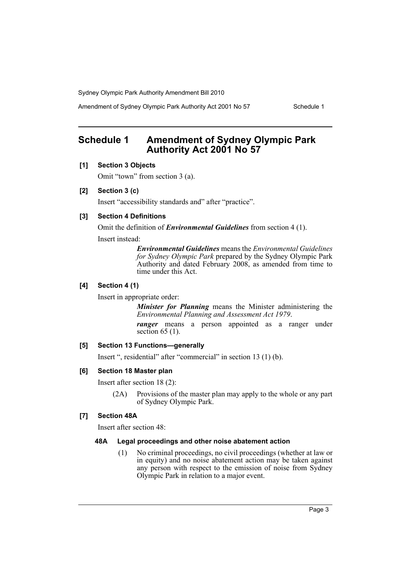Amendment of Sydney Olympic Park Authority Act 2001 No 57 Schedule 1

## <span id="page-4-0"></span>**Schedule 1 Amendment of Sydney Olympic Park Authority Act 2001 No 57**

#### **[1] Section 3 Objects**

Omit "town" from section 3 (a).

#### **[2] Section 3 (c)**

Insert "accessibility standards and" after "practice".

#### **[3] Section 4 Definitions**

Omit the definition of *Environmental Guidelines* from section 4 (1).

Insert instead:

*Environmental Guidelines* means the *Environmental Guidelines for Sydney Olympic Park* prepared by the Sydney Olympic Park Authority and dated February 2008, as amended from time to time under this Act.

#### **[4] Section 4 (1)**

Insert in appropriate order:

*Minister for Planning* means the Minister administering the *Environmental Planning and Assessment Act 1979*.

*ranger* means a person appointed as a ranger under section  $65$  (1).

#### **[5] Section 13 Functions—generally**

Insert ", residential" after "commercial" in section 13 (1) (b).

#### **[6] Section 18 Master plan**

Insert after section 18 (2):

(2A) Provisions of the master plan may apply to the whole or any part of Sydney Olympic Park.

#### **[7] Section 48A**

Insert after section 48:

#### **48A Legal proceedings and other noise abatement action**

(1) No criminal proceedings, no civil proceedings (whether at law or in equity) and no noise abatement action may be taken against any person with respect to the emission of noise from Sydney Olympic Park in relation to a major event.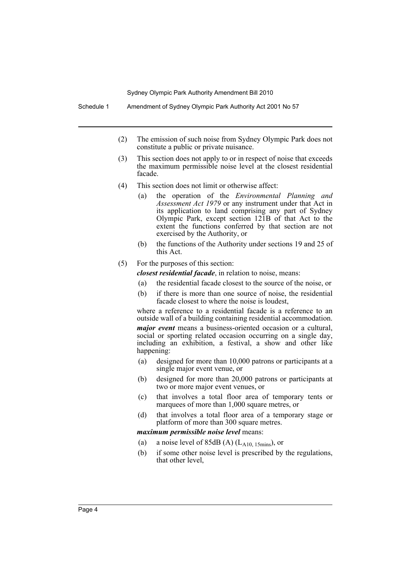- (2) The emission of such noise from Sydney Olympic Park does not constitute a public or private nuisance.
- (3) This section does not apply to or in respect of noise that exceeds the maximum permissible noise level at the closest residential facade.
- (4) This section does not limit or otherwise affect:
	- (a) the operation of the *Environmental Planning and Assessment Act 1979* or any instrument under that Act in its application to land comprising any part of Sydney Olympic Park, except section 121B of that Act to the extent the functions conferred by that section are not exercised by the Authority, or
	- (b) the functions of the Authority under sections 19 and 25 of this Act.
- (5) For the purposes of this section:

*closest residential facade*, in relation to noise, means:

- (a) the residential facade closest to the source of the noise, or
- (b) if there is more than one source of noise, the residential facade closest to where the noise is loudest,

where a reference to a residential facade is a reference to an outside wall of a building containing residential accommodation. *major event* means a business-oriented occasion or a cultural, social or sporting related occasion occurring on a single day, including an exhibition, a festival, a show and other like happening:

- (a) designed for more than 10,000 patrons or participants at a single major event venue, or
- (b) designed for more than 20,000 patrons or participants at two or more major event venues, or
- (c) that involves a total floor area of temporary tents or marquees of more than 1,000 square metres, or
- (d) that involves a total floor area of a temporary stage or platform of more than 300 square metres.

*maximum permissible noise level* means:

- (a) a noise level of  $85dB$  (A) (L<sub>A10, 15mins</sub>), or
- (b) if some other noise level is prescribed by the regulations, that other level,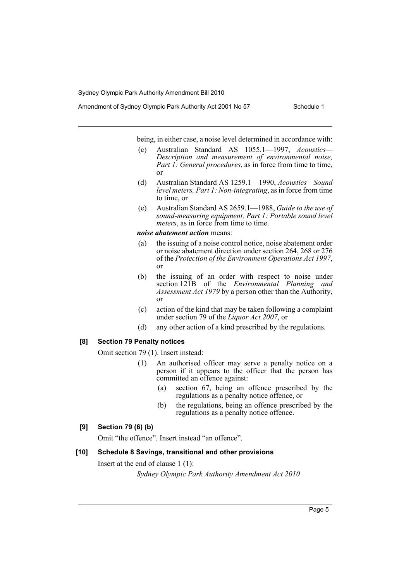Amendment of Sydney Olympic Park Authority Act 2001 No 57 Schedule 1

being, in either case, a noise level determined in accordance with:

- (c) Australian Standard AS 1055.1—1997, *Acoustics— Description and measurement of environmental noise, Part 1: General procedures*, as in force from time to time, or
- (d) Australian Standard AS 1259.1—1990, *Acoustics—Sound level meters, Part 1: Non-integrating*, as in force from time to time, or
- (e) Australian Standard AS 2659.1—1988, *Guide to the use of sound-measuring equipment, Part 1: Portable sound level meters*, as in force from time to time.

#### *noise abatement action* means:

- (a) the issuing of a noise control notice, noise abatement order or noise abatement direction under section 264, 268 or 276 of the *Protection of the Environment Operations Act 1997*, or
- (b) the issuing of an order with respect to noise under section 121B of the *Environmental Planning and Assessment Act 1979* by a person other than the Authority, or
- (c) action of the kind that may be taken following a complaint under section 79 of the *Liquor Act 2007*, or
- (d) any other action of a kind prescribed by the regulations.

#### **[8] Section 79 Penalty notices**

Omit section 79 (1). Insert instead:

- (1) An authorised officer may serve a penalty notice on a person if it appears to the officer that the person has committed an offence against:
	- (a) section 67, being an offence prescribed by the regulations as a penalty notice offence, or
	- (b) the regulations, being an offence prescribed by the regulations as a penalty notice offence.

#### **[9] Section 79 (6) (b)**

Omit "the offence". Insert instead "an offence".

#### **[10] Schedule 8 Savings, transitional and other provisions**

Insert at the end of clause 1 (1):

*Sydney Olympic Park Authority Amendment Act 2010*